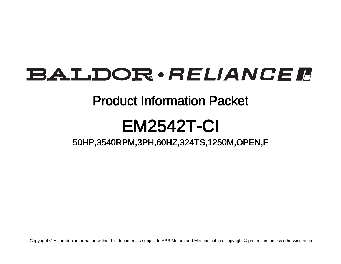# **BALDOR** · RELIANCE F

## Product Information Packet

# EM2542T-CI

50HP,3540RPM,3PH,60HZ,324TS,1250M,OPEN,F

Copyright © All product information within this document is subject to ABB Motors and Mechanical Inc. copyright © protection, unless otherwise noted.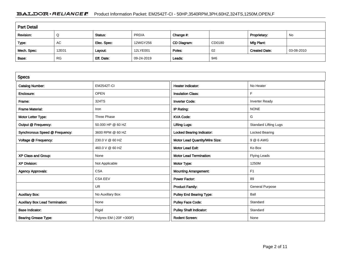### BALDOR · RELIANCE F Product Information Packet: EM2542T-CI - 50HP,3540RPM,3PH,60HZ,324TS,1250M,OPEN,F

| <b>Part Detail</b> |           |             |            |             |        |                      |            |  |  |
|--------------------|-----------|-------------|------------|-------------|--------|----------------------|------------|--|--|
| Revision:          | Q         | Status:     | PRD/A      | Change #:   |        | Proprietary:         | No         |  |  |
| Type:              | AC        | Elec. Spec: | 12WGY256   | CD Diagram: | CD0180 | Mfg Plant:           |            |  |  |
| Mech. Spec:        | 12E01     | Layout:     | 12LYE001   | Poles:      | 02     | <b>Created Date:</b> | 03-08-2010 |  |  |
| Base:              | <b>RG</b> | Eff. Date:  | 09-24-2019 | Leads:      | 9#6    |                      |            |  |  |

| <b>Specs</b>                           |                         |                                  |                              |
|----------------------------------------|-------------------------|----------------------------------|------------------------------|
| <b>Catalog Number:</b>                 | <b>EM2542T-CI</b>       | <b>Heater Indicator:</b>         | No Heater                    |
| Enclosure:                             | <b>OPEN</b>             | <b>Insulation Class:</b>         | F                            |
| Frame:                                 | 324TS                   | <b>Inverter Code:</b>            | <b>Inverter Ready</b>        |
| <b>Frame Material:</b>                 | Iron                    | IP Rating:                       | <b>NONE</b>                  |
| Motor Letter Type:                     | Three Phase             | <b>KVA Code:</b>                 | G                            |
| Output @ Frequency:                    | 50.000 HP @ 60 HZ       | <b>Lifting Lugs:</b>             | <b>Standard Lifting Lugs</b> |
| Synchronous Speed @ Frequency:         | 3600 RPM @ 60 HZ        | <b>Locked Bearing Indicator:</b> | Locked Bearing               |
| Voltage @ Frequency:                   | 230.0 V @ 60 HZ         | Motor Lead Quantity/Wire Size:   | 9 @ 6 AWG                    |
|                                        | 460.0 V @ 60 HZ         | <b>Motor Lead Exit:</b>          | Ko Box                       |
| XP Class and Group:                    | None                    | <b>Motor Lead Termination:</b>   | <b>Flying Leads</b>          |
| <b>XP Division:</b>                    | Not Applicable          | Motor Type:                      | 1250M                        |
| <b>Agency Approvals:</b>               | <b>CSA</b>              | <b>Mounting Arrangement:</b>     | F <sub>1</sub>               |
|                                        | <b>CSA EEV</b>          | Power Factor:                    | 89                           |
|                                        | <b>UR</b>               | <b>Product Family:</b>           | <b>General Purpose</b>       |
| <b>Auxillary Box:</b>                  | No Auxillary Box        | <b>Pulley End Bearing Type:</b>  | Ball                         |
| <b>Auxillary Box Lead Termination:</b> | None                    | <b>Pulley Face Code:</b>         | Standard                     |
| <b>Base Indicator:</b>                 | Rigid                   | <b>Pulley Shaft Indicator:</b>   | Standard                     |
| <b>Bearing Grease Type:</b>            | Polyrex EM (-20F +300F) | <b>Rodent Screen:</b>            | None                         |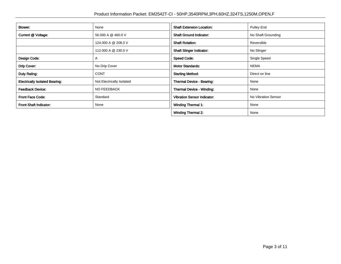| Blower:                               | None                      | <b>Shaft Extension Location:</b>   | <b>Pulley End</b>   |
|---------------------------------------|---------------------------|------------------------------------|---------------------|
| Current @ Voltage:                    | 56.000 A @ 460.0 V        | <b>Shaft Ground Indicator:</b>     | No Shaft Grounding  |
|                                       | 124.000 A @ 208.0 V       | <b>Shaft Rotation:</b>             | Reversible          |
|                                       | 112.000 A @ 230.0 V       | <b>Shaft Slinger Indicator:</b>    | No Slinger          |
| Design Code:                          | A                         | <b>Speed Code:</b>                 | Single Speed        |
| Drip Cover:                           | No Drip Cover             | <b>Motor Standards:</b>            | <b>NEMA</b>         |
| Duty Rating:                          | <b>CONT</b>               | <b>Starting Method:</b>            | Direct on line      |
| <b>Electrically Isolated Bearing:</b> | Not Electrically Isolated | Thermal Device - Bearing:          | None                |
| <b>Feedback Device:</b>               | <b>NO FEEDBACK</b>        | <b>Thermal Device - Winding:</b>   | None                |
| <b>Front Face Code:</b>               | Standard                  | <b>Vibration Sensor Indicator:</b> | No Vibration Sensor |
| Front Shaft Indicator:                | None                      | <b>Winding Thermal 1:</b>          | None                |
|                                       |                           | <b>Winding Thermal 2:</b>          | None                |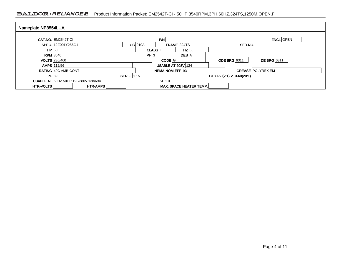### BALDOR · RELIANCE F Product Information Packet: EM2542T-CI - 50HP,3540RPM,3PH,60HZ,324TS,1250M,OPEN,F

| Nameplate NP3554LUA |                                             |                    |                |                                |                           |                    |
|---------------------|---------------------------------------------|--------------------|----------------|--------------------------------|---------------------------|--------------------|
|                     | <b>CAT.NO. EM2542T-CI</b>                   |                    |                | PM                             |                           | <b>ENCL</b> OPEN   |
|                     | SPEC. 12E001Y256G1                          | $CC$ 010A          |                | FRAME 324TS                    | SER.NO.                   |                    |
| HP 50               |                                             |                    | <b>CLASS F</b> | $HZ$ 60                        |                           |                    |
| <b>RPM</b> 3540     |                                             |                    | PH 3           | <b>DES</b> A                   |                           |                    |
|                     | <b>VOLTS</b> 230/460                        |                    |                | CODE <sup>IG</sup>             | <b>ODE BRG</b> 6311       | <b>DE BRG</b> 6311 |
|                     | <b>AMPS</b> 112/56                          |                    |                | <b>USABLE AT 208V 124</b>      |                           |                    |
|                     | <b>RATING 40C AMB-CONT</b>                  |                    |                | NEMA-NOM-EFF 93                | <b>GREASE POLYREX EM</b>  |                    |
| PF 89               |                                             | <b>SER.F.</b> 1.15 |                |                                | CT30-60(2:1) VT3-60(20:1) |                    |
|                     | <b>USABLE AT 50HZ 50HP 190/380V 138/69A</b> |                    |                | SF 1.0                         |                           |                    |
| <b>HTR-VOLTS</b>    | <b>HTR-AMPS</b>                             |                    |                | <b>MAX. SPACE HEATER TEMP.</b> |                           |                    |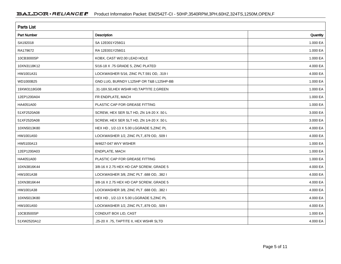| <b>Parts List</b> |                                           |          |
|-------------------|-------------------------------------------|----------|
| Part Number       | Description                               | Quantity |
| SA192018          | SA 12E001Y256G1                           | 1.000 EA |
| RA179672          | RA 12E001Y256G1                           | 1.000 EA |
| 10CB3000SP        | KOBX, CAST W/2.00 LEAD HOLE               | 1.000 EA |
| 10XN3118K12       | 5/16-18 X .75 GRADE 5, ZINC PLATED        | 4.000 EA |
| HW1001A31         | LOCKWASHER 5/16, ZINC PLT.591 OD, .319 I  | 4.000 EA |
| WD1000B25         | GND LUG, BURNDY L125HP OR T&B L125HP-BB   | 1.000 EA |
| 19XW3118G08       | .31-18X.50, HEX WSHR HD, TAPTITE 2, GREEN | 1.000 EA |
| 12EP1200A04       | FR ENDPLATE, MACH                         | 1.000 EA |
| HA4051A00         | PLASTIC CAP FOR GREASE FITTING            | 1.000 EA |
| 51XF2520A08       | SCREW, HEX SER SLT HD, ZN 1/4-20 X .50 L  | 3.000 EA |
| 51XF2520A08       | SCREW, HEX SER SLT HD, ZN 1/4-20 X .50 L  | 3.000 EA |
| 10XN5013K80       | HEX HD, 1/2-13 X 5.00 LGGRADE 5, ZINC PL  | 4.000 EA |
| HW1001A50         | LOCKWASHER 1/2, ZINC PLT, 879 OD, .509 I  | 4.000 EA |
| HW5100A13         | W4627-047 WVY WSHER                       | 1.000 EA |
| 12EP1200A03       | ENDPLATE, MACH                            | 1.000 EA |
| HA4051A00         | PLASTIC CAP FOR GREASE FITTING            | 1.000 EA |
| 10XN3816K44       | 3/8-16 X 2.75 HEX HD CAP SCREW, GRADE 5   | 4.000 EA |
| HW1001A38         | LOCKWASHER 3/8, ZINC PLT .688 OD, .382 I  | 4.000 EA |
| 10XN3816K44       | 3/8-16 X 2.75 HEX HD CAP SCREW, GRADE 5   | 4.000 EA |
| HW1001A38         | LOCKWASHER 3/8, ZINC PLT .688 OD, .382 I  | 4.000 EA |
| 10XN5013K80       | HEX HD, 1/2-13 X 5.00 LGGRADE 5, ZINC PL  | 4.000 EA |
| HW1001A50         | LOCKWASHER 1/2, ZINC PLT, 879 OD, .509 I  | 4.000 EA |
| 10CB3500SP        | CONDUIT BOX LID, CAST                     | 1.000 EA |
| 51XW2520A12       | .25-20 X .75, TAPTITE II, HEX WSHR SLTD   | 4.000 EA |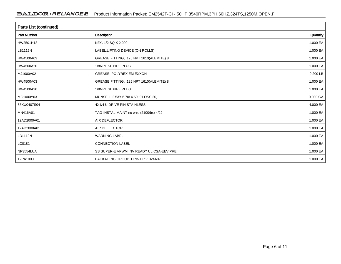| Parts List (continued) |                                          |          |  |  |  |  |
|------------------------|------------------------------------------|----------|--|--|--|--|
| <b>Part Number</b>     | Description                              | Quantity |  |  |  |  |
| HW2501H18              | KEY, 1/2 SQ X 2.000                      | 1.000 EA |  |  |  |  |
| LB1115N                | LABEL, LIFTING DEVICE (ON ROLLS)         | 1.000 EA |  |  |  |  |
| HW4500A03              | GREASE FITTING, .125 NPT 1610(ALEMITE) 8 | 1.000 EA |  |  |  |  |
| HW4500A20              | 1/8NPT SL PIPE PLUG                      | 1.000 EA |  |  |  |  |
| MJ1000A02              | GREASE, POLYREX EM EXXON                 | 0.200 LB |  |  |  |  |
| HW4500A03              | GREASE FITTING, .125 NPT 1610(ALEMITE) 8 | 1.000 EA |  |  |  |  |
| HW4500A20              | 1/8NPT SL PIPE PLUG                      | 1.000 EA |  |  |  |  |
| MG1000Y03              | MUNSELL 2.53Y 6.70/ 4.60, GLOSS 20,      | 0.080 GA |  |  |  |  |
| 85XU0407S04            | 4X1/4 U DRIVE PIN STAINLESS              | 4.000 EA |  |  |  |  |
| MN416A01               | TAG-INSTAL-MAINT no wire (2100/bx) 4/22  | 1.000 EA |  |  |  |  |
| 12AD2000A01            | AIR DEFLECTOR                            | 1.000 EA |  |  |  |  |
| 12AD2000A01            | AIR DEFLECTOR                            | 1.000 EA |  |  |  |  |
| LB1119N                | <b>WARNING LABEL</b>                     | 1.000 EA |  |  |  |  |
| LC0181                 | <b>CONNECTION LABEL</b>                  | 1.000 EA |  |  |  |  |
| NP3554LUA              | SS SUPER-E VPWM INV READY UL CSA-EEV PRE | 1.000 EA |  |  |  |  |
| 12PA1000               | PACKAGING GROUP PRINT PK1024A07          | 1.000 EA |  |  |  |  |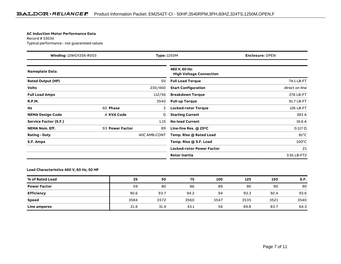#### **AC Induction Motor Performance Data**

Record # 53034Typical performance - not guaranteed values

| Winding: 12WGY256-R003       |                 | <b>Type: 1250M</b><br><b>Enclosure: OPEN</b> |                                                 |                 |
|------------------------------|-----------------|----------------------------------------------|-------------------------------------------------|-----------------|
| Nameplate Data               |                 |                                              | 460 V, 60 Hz:<br><b>High Voltage Connection</b> |                 |
| <b>Rated Output (HP)</b>     |                 | 50                                           | <b>Full Load Torque</b>                         | 74.1 LB-FT      |
| <b>Volts</b>                 |                 | 230/460                                      | <b>Start Configuration</b>                      | direct on line  |
| <b>Full Load Amps</b>        |                 | 112/56                                       | <b>Breakdown Torque</b>                         | 276 LB-FT       |
| <b>R.P.M.</b>                |                 | 3540                                         | <b>Pull-up Torque</b>                           | 91.7 LB-FT      |
| Hz                           | 60 Phase        | 3                                            | Locked-rotor Torque                             | 126 LB-FT       |
| <b>NEMA Design Code</b>      | A KVA Code      | G                                            | <b>Starting Current</b>                         | 383 A           |
| <b>Service Factor (S.F.)</b> |                 | 1.15                                         | <b>No-load Current</b>                          | 16.6 A          |
| <b>NEMA Nom. Eff.</b>        | 93 Power Factor | 89                                           | Line-line Res. @ 25°C                           | $0.117 \Omega$  |
| <b>Rating - Duty</b>         |                 | 40C AMB-CONT                                 | Temp. Rise @ Rated Load                         | $81^{\circ}$ C  |
| S.F. Amps                    |                 |                                              | Temp. Rise @ S.F. Load                          | $100^{\circ}$ C |
|                              |                 |                                              | <b>Locked-rotor Power Factor</b>                | 21              |
|                              |                 |                                              | <b>Rotor inertia</b>                            | 3.91 LB-FT2     |

#### **Load Characteristics 460 V, 60 Hz, 50 HP**

| % of Rated Load     | 25   | 50   | 75   | 100  | 125  | 150  | S.F. |
|---------------------|------|------|------|------|------|------|------|
| <b>Power Factor</b> | 59   | 80   | 86   | 89   | 90   | 90   | 90   |
| <b>Efficiency</b>   | 90.6 | 93.7 | 94.2 | 94   | 93.3 | 92.4 | 93.6 |
| <b>Speed</b>        | 3584 | 3572 | 3560 | 3547 | 3535 | 3521 | 3540 |
| Line amperes        | 21.6 | 31.4 | 43.1 | 56   | 69.8 | 83.7 | 64.3 |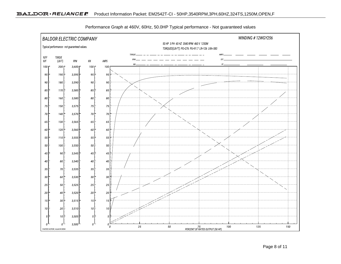

Performance Graph at 460V, 60Hz, 50.0HP Typical performance - Not guaranteed values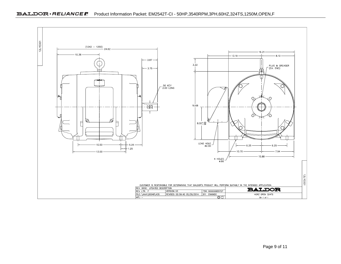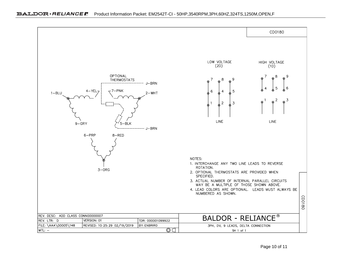